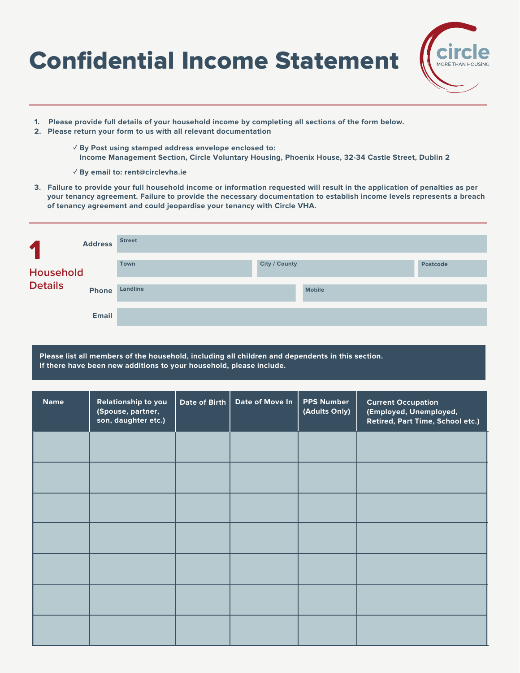# Confidential Income Statement



- **1. Please provide full details of your household income by completing all sections of the form below.**
- **2. Please return your form to us with all relevant documentation**
	- **✓ By Post using stamped address envelope enclosed to: Income Management Section, Circle Voluntary Housing, Phoenix House, 32-34 Castle Street, Dublin 2**
	- **✓ By email to: rent@circlevha.ie**
- **3. Failure to provide your full household income or information requested will result in the application of penalties as per your tenancy agreement. Failure to provide the necessary documentation to establish income levels represents a breach of tenancy agreement and could jeopardise your tenancy with Circle VHA.**

| $\blacklozenge$             | <b>Address</b> | <b>Street</b> |               |               |          |
|-----------------------------|----------------|---------------|---------------|---------------|----------|
| Household<br><b>Details</b> |                | Town          | City / County |               | Postcode |
|                             | <b>Phone</b>   | Landline      |               | <b>Mobile</b> |          |
|                             | <b>Email</b>   |               |               |               |          |

**Please list all members of the household, including all children and dependents in this section. If there have been new additions to your household, please include.**

| <b>Name</b> | Relationship to you<br>(Spouse, partner,<br>son, daughter etc.) | Date of Birth | Date of Move In | <b>PPS Number</b><br>(Adults Only) | <b>Current Occupation</b><br>(Employed, Unemployed,<br>Retired, Part Time, School etc.) |
|-------------|-----------------------------------------------------------------|---------------|-----------------|------------------------------------|-----------------------------------------------------------------------------------------|
|             |                                                                 |               |                 |                                    |                                                                                         |
|             |                                                                 |               |                 |                                    |                                                                                         |
|             |                                                                 |               |                 |                                    |                                                                                         |
|             |                                                                 |               |                 |                                    |                                                                                         |
|             |                                                                 |               |                 |                                    |                                                                                         |
|             |                                                                 |               |                 |                                    |                                                                                         |
|             |                                                                 |               |                 |                                    |                                                                                         |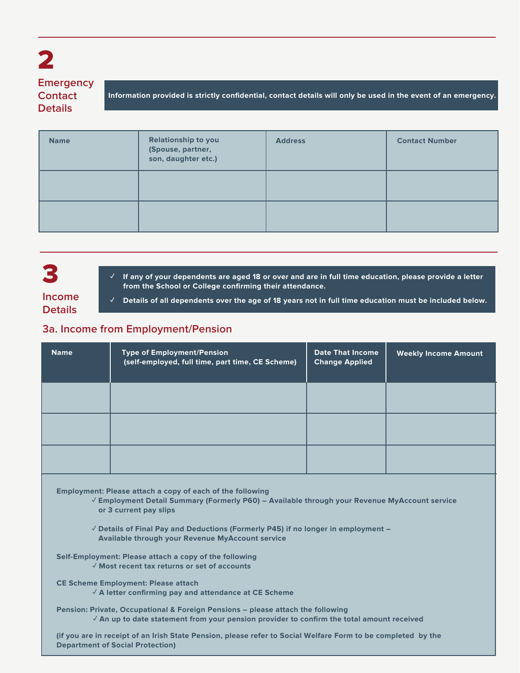## 2 **Emergency**

**Contact Details**

**Information provided is strictly confidential, contact details will only be used in the event of an emergency.**

| <b>Name</b> | <b>Relationship to you</b><br>(Spouse, partner,<br>son, daughter etc.) | <b>Address</b> | <b>Contact Number</b> |
|-------------|------------------------------------------------------------------------|----------------|-----------------------|
|             |                                                                        |                |                       |
|             |                                                                        |                |                       |

## 3

If any of your dependents are aged 18 or over and are in full time education, please provide a letter  **from the School or College confirming their attendance.** 

#### **Income Details**

**✓ Details of all dependents over the age of 18 years not in full time education must be included below.**

#### **3a. Income from Employment/Pension**

| <b>Name</b> | <b>Type of Employment/Pension</b><br>(self-employed, full time, part time, CE Scheme) | <b>Date That Income</b><br><b>Change Applied</b> | <b>Weekly Income Amount</b> |
|-------------|---------------------------------------------------------------------------------------|--------------------------------------------------|-----------------------------|
|             |                                                                                       |                                                  |                             |
|             |                                                                                       |                                                  |                             |
|             |                                                                                       |                                                  |                             |

**Employment: Please attach a copy of each of the following** 

 **✓ Employment Detail Summary (Formerly P60) – Available through your Revenue MyAccount service or 3 current pay slips**

 **✓ Details of Final Pay and Deductions (Formerly P45) if no longer in employment – Available through your Revenue MyAccount service**

**Self-Employment: Please attach a copy of the following ✓ Most recent tax returns or set of accounts** 

**CE Scheme Employment: Please attach** 

 **✓ A letter confirming pay and attendance at CE Scheme** 

**Pension: Private, Occupational & Foreign Pensions – please attach the following ✓ An up to date statement from your pension provider to confirm the total amount received** 

**(if you are in receipt of an Irish State Pension, please refer to Social Welfare Form to be completed by the Department of Social Protection)**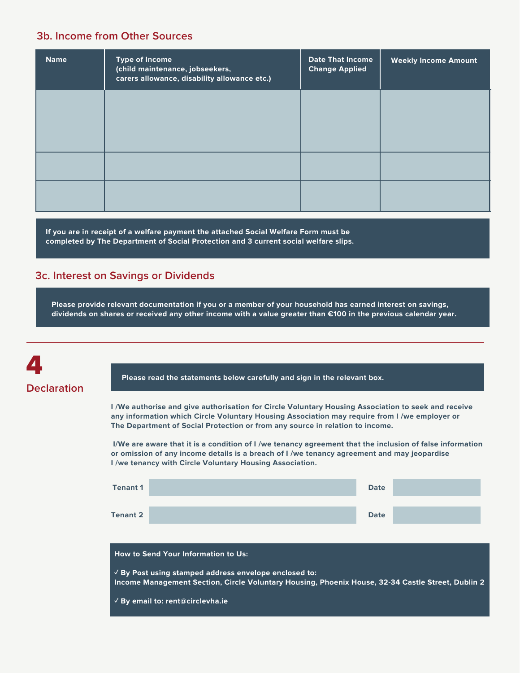#### **3b. Income from Other Sources**

| <b>Name</b> | <b>Type of Income</b><br>(child maintenance, jobseekers,<br>carers allowance, disability allowance etc.) | <b>Date That Income</b><br><b>Change Applied</b> | <b>Weekly Income Amount</b> |
|-------------|----------------------------------------------------------------------------------------------------------|--------------------------------------------------|-----------------------------|
|             |                                                                                                          |                                                  |                             |
|             |                                                                                                          |                                                  |                             |
|             |                                                                                                          |                                                  |                             |
|             |                                                                                                          |                                                  |                             |

**If you are in receipt of a welfare payment the attached Social Welfare Form must be completed by The Department of Social Protection and 3 current social welfare slips.**

#### **3c. Interest on Savings or Dividends**

**Please provide relevant documentation if you or a member of your household has earned interest on savings, dividends on shares or received any other income with a value greater than €100 in the previous calendar year.**



**Please read the statements below carefully and sign in the relevant box.**

**I /We authorise and give authorisation for Circle Voluntary Housing Association to seek and receive any information which Circle Voluntary Housing Association may require from I /we employer or The Department of Social Protection or from any source in relation to income.**

 **I/We are aware that it is a condition of I /we tenancy agreement that the inclusion of false information or omission of any income details is a breach of I /we tenancy agreement and may jeopardise I /we tenancy with Circle Voluntary Housing Association.**

| <b>Tenant 1</b> |                                                                                                                                                                     | <b>Date</b> |  |
|-----------------|---------------------------------------------------------------------------------------------------------------------------------------------------------------------|-------------|--|
| Tenant 2        |                                                                                                                                                                     | <b>Date</b> |  |
|                 | <b>How to Send Your Information to Us:</b>                                                                                                                          |             |  |
|                 | $\sqrt{2}$ By Post using stamped address envelope enclosed to:<br>Income Management Section, Circle Voluntary Housing, Phoenix House, 32-34 Castle Street, Dublin 2 |             |  |
|                 | $\sqrt{B}$ By email to: rent@circlevha.ie                                                                                                                           |             |  |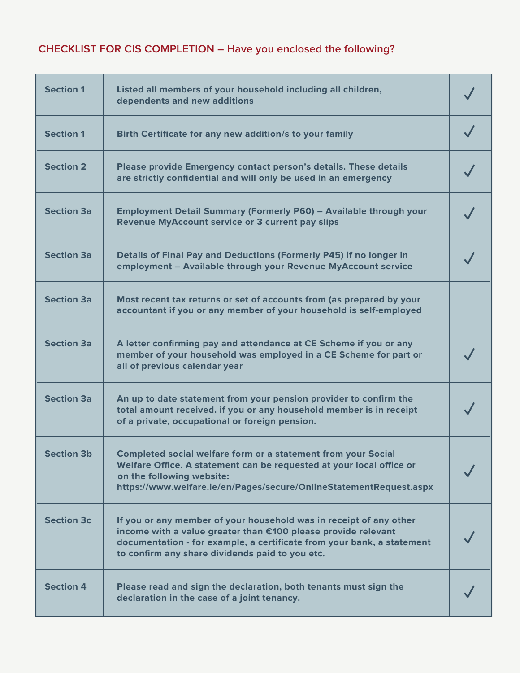## **CHECKLIST FOR CIS COMPLETION – Have you enclosed the following?**

| <b>Section 1</b>  | Listed all members of your household including all children,<br>dependents and new additions                                                                                                                                                                     |  |
|-------------------|------------------------------------------------------------------------------------------------------------------------------------------------------------------------------------------------------------------------------------------------------------------|--|
| <b>Section 1</b>  | Birth Certificate for any new addition/s to your family                                                                                                                                                                                                          |  |
| <b>Section 2</b>  | Please provide Emergency contact person's details. These details<br>are strictly confidential and will only be used in an emergency                                                                                                                              |  |
| <b>Section 3a</b> | Employment Detail Summary (Formerly P60) - Available through your<br><b>Revenue MyAccount service or 3 current pay slips</b>                                                                                                                                     |  |
| <b>Section 3a</b> | Details of Final Pay and Deductions (Formerly P45) if no longer in<br>employment - Available through your Revenue MyAccount service                                                                                                                              |  |
| <b>Section 3a</b> | Most recent tax returns or set of accounts from (as prepared by your<br>accountant if you or any member of your household is self-employed                                                                                                                       |  |
| <b>Section 3a</b> | A letter confirming pay and attendance at CE Scheme if you or any<br>member of your household was employed in a CE Scheme for part or<br>all of previous calendar year                                                                                           |  |
| <b>Section 3a</b> | An up to date statement from your pension provider to confirm the<br>total amount received. if you or any household member is in receipt<br>of a private, occupational or foreign pension.                                                                       |  |
| <b>Section 3b</b> | <b>Completed social welfare form or a statement from your Social</b><br>Welfare Office. A statement can be requested at your local office or<br>on the following website:<br>https://www.welfare.ie/en/Pages/secure/OnlineStatementRequest.aspx                  |  |
| <b>Section 3c</b> | If you or any member of your household was in receipt of any other<br>income with a value greater than €100 please provide relevant<br>documentation - for example, a certificate from your bank, a statement<br>to confirm any share dividends paid to you etc. |  |
| <b>Section 4</b>  | Please read and sign the declaration, both tenants must sign the<br>declaration in the case of a joint tenancy.                                                                                                                                                  |  |